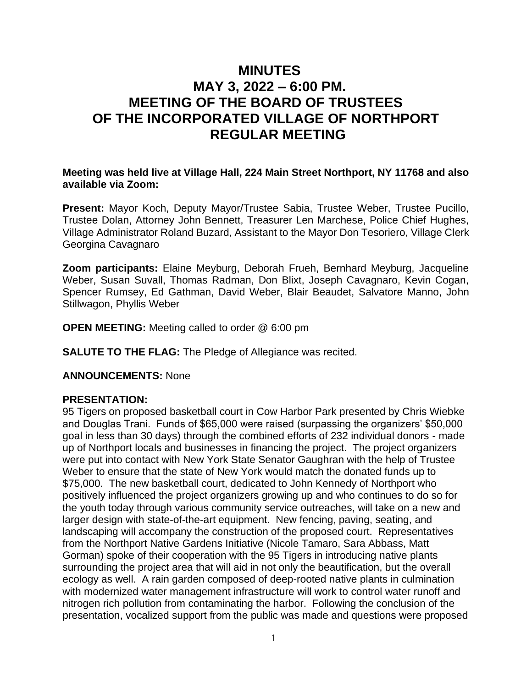# **MINUTES MAY 3, 2022 – 6:00 PM. MEETING OF THE BOARD OF TRUSTEES OF THE INCORPORATED VILLAGE OF NORTHPORT REGULAR MEETING**

### **Meeting was held live at Village Hall, 224 Main Street Northport, NY 11768 and also available via Zoom:**

**Present:** Mayor Koch, Deputy Mayor/Trustee Sabia, Trustee Weber, Trustee Pucillo, Trustee Dolan, Attorney John Bennett, Treasurer Len Marchese, Police Chief Hughes, Village Administrator Roland Buzard, Assistant to the Mayor Don Tesoriero, Village Clerk Georgina Cavagnaro

**Zoom participants:** Elaine Meyburg, Deborah Frueh, Bernhard Meyburg, Jacqueline Weber, Susan Suvall, Thomas Radman, Don Blixt, Joseph Cavagnaro, Kevin Cogan, Spencer Rumsey, Ed Gathman, David Weber, Blair Beaudet, Salvatore Manno, John Stillwagon, Phyllis Weber

**OPEN MEETING:** Meeting called to order @ 6:00 pm

**SALUTE TO THE FLAG:** The Pledge of Allegiance was recited.

# **ANNOUNCEMENTS:** None

# **PRESENTATION:**

95 Tigers on proposed basketball court in Cow Harbor Park presented by Chris Wiebke and Douglas Trani. Funds of \$65,000 were raised (surpassing the organizers' \$50,000 goal in less than 30 days) through the combined efforts of 232 individual donors - made up of Northport locals and businesses in financing the project. The project organizers were put into contact with New York State Senator Gaughran with the help of Trustee Weber to ensure that the state of New York would match the donated funds up to \$75,000. The new basketball court, dedicated to John Kennedy of Northport who positively influenced the project organizers growing up and who continues to do so for the youth today through various community service outreaches, will take on a new and larger design with state-of-the-art equipment. New fencing, paving, seating, and landscaping will accompany the construction of the proposed court. Representatives from the Northport Native Gardens Initiative (Nicole Tamaro, Sara Abbass, Matt Gorman) spoke of their cooperation with the 95 Tigers in introducing native plants surrounding the project area that will aid in not only the beautification, but the overall ecology as well. A rain garden composed of deep-rooted native plants in culmination with modernized water management infrastructure will work to control water runoff and nitrogen rich pollution from contaminating the harbor. Following the conclusion of the presentation, vocalized support from the public was made and questions were proposed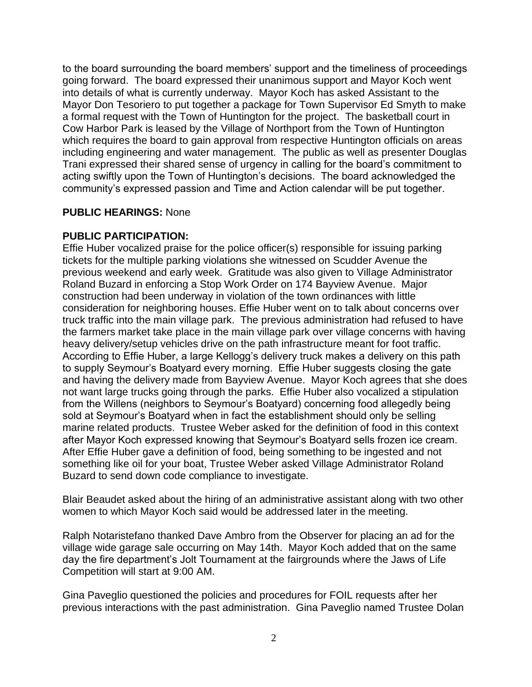to the board surrounding the board members' support and the timeliness of proceedings going forward. The board expressed their unanimous support and Mayor Koch went into details of what is currently underway. Mayor Koch has asked Assistant to the Mayor Don Tesoriero to put together a package for Town Supervisor Ed Smyth to make a formal request with the Town of Huntington for the project. The basketball court in Cow Harbor Park is leased by the Village of Northport from the Town of Huntington which requires the board to gain approval from respective Huntington officials on areas including engineering and water management. The public as well as presenter Douglas Trani expressed their shared sense of urgency in calling for the board's commitment to acting swiftly upon the Town of Huntington's decisions. The board acknowledged the community's expressed passion and Time and Action calendar will be put together.

# **PUBLIC HEARINGS:** None

#### **PUBLIC PARTICIPATION:**

Effie Huber vocalized praise for the police officer(s) responsible for issuing parking tickets for the multiple parking violations she witnessed on Scudder Avenue the previous weekend and early week. Gratitude was also given to Village Administrator Roland Buzard in enforcing a Stop Work Order on 174 Bayview Avenue. Major construction had been underway in violation of the town ordinances with little consideration for neighboring houses. Effie Huber went on to talk about concerns over truck traffic into the main village park. The previous administration had refused to have the farmers market take place in the main village park over village concerns with having heavy delivery/setup vehicles drive on the path infrastructure meant for foot traffic. According to Effie Huber, a large Kellogg's delivery truck makes a delivery on this path to supply Seymour's Boatyard every morning. Effie Huber suggests closing the gate and having the delivery made from Bayview Avenue. Mayor Koch agrees that she does not want large trucks going through the parks. Effie Huber also vocalized a stipulation from the Willens (neighbors to Seymour's Boatyard) concerning food allegedly being sold at Seymour's Boatyard when in fact the establishment should only be selling marine related products. Trustee Weber asked for the definition of food in this context after Mayor Koch expressed knowing that Seymour's Boatyard sells frozen ice cream. After Effie Huber gave a definition of food, being something to be ingested and not something like oil for your boat, Trustee Weber asked Village Administrator Roland Buzard to send down code compliance to investigate.

Blair Beaudet asked about the hiring of an administrative assistant along with two other women to which Mayor Koch said would be addressed later in the meeting.

Ralph Notaristefano thanked Dave Ambro from the Observer for placing an ad for the village wide garage sale occurring on May 14th. Mayor Koch added that on the same day the fire department's Jolt Tournament at the fairgrounds where the Jaws of Life Competition will start at 9:00 AM.

Gina Paveglio questioned the policies and procedures for FOIL requests after her previous interactions with the past administration. Gina Paveglio named Trustee Dolan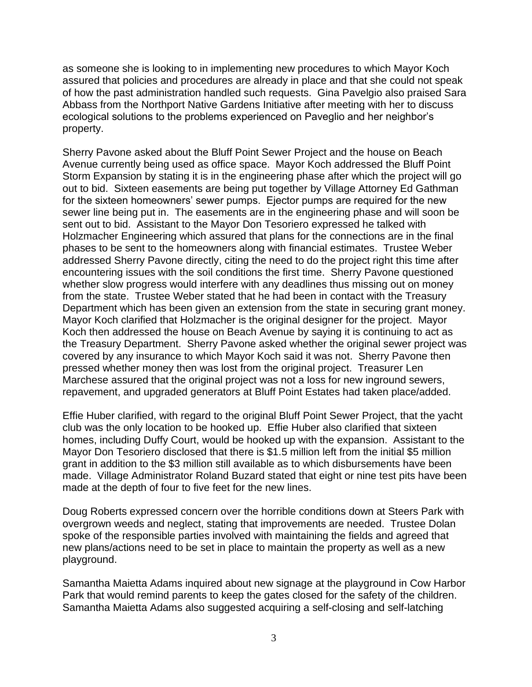as someone she is looking to in implementing new procedures to which Mayor Koch assured that policies and procedures are already in place and that she could not speak of how the past administration handled such requests. Gina Pavelgio also praised Sara Abbass from the Northport Native Gardens Initiative after meeting with her to discuss ecological solutions to the problems experienced on Paveglio and her neighbor's property.

Sherry Pavone asked about the Bluff Point Sewer Project and the house on Beach Avenue currently being used as office space. Mayor Koch addressed the Bluff Point Storm Expansion by stating it is in the engineering phase after which the project will go out to bid. Sixteen easements are being put together by Village Attorney Ed Gathman for the sixteen homeowners' sewer pumps. Ejector pumps are required for the new sewer line being put in. The easements are in the engineering phase and will soon be sent out to bid. Assistant to the Mayor Don Tesoriero expressed he talked with Holzmacher Engineering which assured that plans for the connections are in the final phases to be sent to the homeowners along with financial estimates. Trustee Weber addressed Sherry Pavone directly, citing the need to do the project right this time after encountering issues with the soil conditions the first time. Sherry Pavone questioned whether slow progress would interfere with any deadlines thus missing out on money from the state. Trustee Weber stated that he had been in contact with the Treasury Department which has been given an extension from the state in securing grant money. Mayor Koch clarified that Holzmacher is the original designer for the project. Mayor Koch then addressed the house on Beach Avenue by saying it is continuing to act as the Treasury Department. Sherry Pavone asked whether the original sewer project was covered by any insurance to which Mayor Koch said it was not. Sherry Pavone then pressed whether money then was lost from the original project. Treasurer Len Marchese assured that the original project was not a loss for new inground sewers, repavement, and upgraded generators at Bluff Point Estates had taken place/added.

Effie Huber clarified, with regard to the original Bluff Point Sewer Project, that the yacht club was the only location to be hooked up. Effie Huber also clarified that sixteen homes, including Duffy Court, would be hooked up with the expansion. Assistant to the Mayor Don Tesoriero disclosed that there is \$1.5 million left from the initial \$5 million grant in addition to the \$3 million still available as to which disbursements have been made. Village Administrator Roland Buzard stated that eight or nine test pits have been made at the depth of four to five feet for the new lines.

Doug Roberts expressed concern over the horrible conditions down at Steers Park with overgrown weeds and neglect, stating that improvements are needed. Trustee Dolan spoke of the responsible parties involved with maintaining the fields and agreed that new plans/actions need to be set in place to maintain the property as well as a new playground.

Samantha Maietta Adams inquired about new signage at the playground in Cow Harbor Park that would remind parents to keep the gates closed for the safety of the children. Samantha Maietta Adams also suggested acquiring a self-closing and self-latching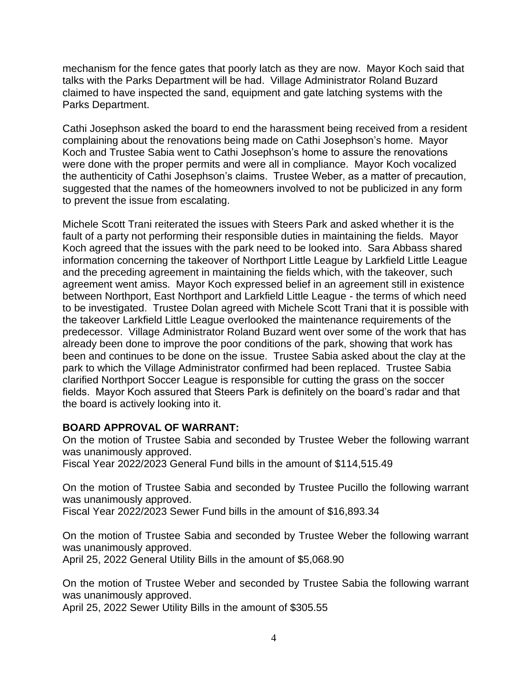mechanism for the fence gates that poorly latch as they are now. Mayor Koch said that talks with the Parks Department will be had. Village Administrator Roland Buzard claimed to have inspected the sand, equipment and gate latching systems with the Parks Department.

Cathi Josephson asked the board to end the harassment being received from a resident complaining about the renovations being made on Cathi Josephson's home. Mayor Koch and Trustee Sabia went to Cathi Josephson's home to assure the renovations were done with the proper permits and were all in compliance. Mayor Koch vocalized the authenticity of Cathi Josephson's claims. Trustee Weber, as a matter of precaution, suggested that the names of the homeowners involved to not be publicized in any form to prevent the issue from escalating.

Michele Scott Trani reiterated the issues with Steers Park and asked whether it is the fault of a party not performing their responsible duties in maintaining the fields. Mayor Koch agreed that the issues with the park need to be looked into. Sara Abbass shared information concerning the takeover of Northport Little League by Larkfield Little League and the preceding agreement in maintaining the fields which, with the takeover, such agreement went amiss. Mayor Koch expressed belief in an agreement still in existence between Northport, East Northport and Larkfield Little League - the terms of which need to be investigated. Trustee Dolan agreed with Michele Scott Trani that it is possible with the takeover Larkfield Little League overlooked the maintenance requirements of the predecessor. Village Administrator Roland Buzard went over some of the work that has already been done to improve the poor conditions of the park, showing that work has been and continues to be done on the issue. Trustee Sabia asked about the clay at the park to which the Village Administrator confirmed had been replaced. Trustee Sabia clarified Northport Soccer League is responsible for cutting the grass on the soccer fields. Mayor Koch assured that Steers Park is definitely on the board's radar and that the board is actively looking into it.

# **BOARD APPROVAL OF WARRANT:**

On the motion of Trustee Sabia and seconded by Trustee Weber the following warrant was unanimously approved.

Fiscal Year 2022/2023 General Fund bills in the amount of \$114,515.49

On the motion of Trustee Sabia and seconded by Trustee Pucillo the following warrant was unanimously approved.

Fiscal Year 2022/2023 Sewer Fund bills in the amount of \$16,893.34

On the motion of Trustee Sabia and seconded by Trustee Weber the following warrant was unanimously approved.

April 25, 2022 General Utility Bills in the amount of \$5,068.90

On the motion of Trustee Weber and seconded by Trustee Sabia the following warrant was unanimously approved.

April 25, 2022 Sewer Utility Bills in the amount of \$305.55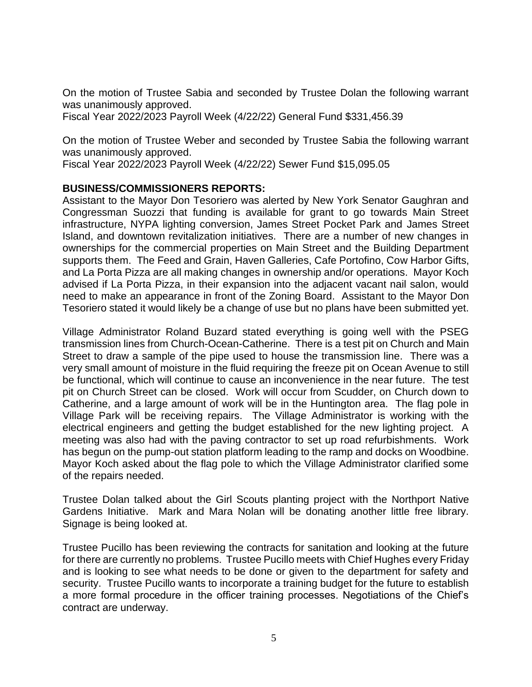On the motion of Trustee Sabia and seconded by Trustee Dolan the following warrant was unanimously approved.

Fiscal Year 2022/2023 Payroll Week (4/22/22) General Fund \$331,456.39

On the motion of Trustee Weber and seconded by Trustee Sabia the following warrant was unanimously approved.

Fiscal Year 2022/2023 Payroll Week (4/22/22) Sewer Fund \$15,095.05

# **BUSINESS/COMMISSIONERS REPORTS:**

Assistant to the Mayor Don Tesoriero was alerted by New York Senator Gaughran and Congressman Suozzi that funding is available for grant to go towards Main Street infrastructure, NYPA lighting conversion, James Street Pocket Park and James Street Island, and downtown revitalization initiatives. There are a number of new changes in ownerships for the commercial properties on Main Street and the Building Department supports them. The Feed and Grain, Haven Galleries, Cafe Portofino, Cow Harbor Gifts, and La Porta Pizza are all making changes in ownership and/or operations. Mayor Koch advised if La Porta Pizza, in their expansion into the adjacent vacant nail salon, would need to make an appearance in front of the Zoning Board. Assistant to the Mayor Don Tesoriero stated it would likely be a change of use but no plans have been submitted yet.

Village Administrator Roland Buzard stated everything is going well with the PSEG transmission lines from Church-Ocean-Catherine. There is a test pit on Church and Main Street to draw a sample of the pipe used to house the transmission line. There was a very small amount of moisture in the fluid requiring the freeze pit on Ocean Avenue to still be functional, which will continue to cause an inconvenience in the near future. The test pit on Church Street can be closed. Work will occur from Scudder, on Church down to Catherine, and a large amount of work will be in the Huntington area. The flag pole in Village Park will be receiving repairs. The Village Administrator is working with the electrical engineers and getting the budget established for the new lighting project. A meeting was also had with the paving contractor to set up road refurbishments. Work has begun on the pump-out station platform leading to the ramp and docks on Woodbine. Mayor Koch asked about the flag pole to which the Village Administrator clarified some of the repairs needed.

Trustee Dolan talked about the Girl Scouts planting project with the Northport Native Gardens Initiative. Mark and Mara Nolan will be donating another little free library. Signage is being looked at.

Trustee Pucillo has been reviewing the contracts for sanitation and looking at the future for there are currently no problems. Trustee Pucillo meets with Chief Hughes every Friday and is looking to see what needs to be done or given to the department for safety and security. Trustee Pucillo wants to incorporate a training budget for the future to establish a more formal procedure in the officer training processes. Negotiations of the Chief's contract are underway.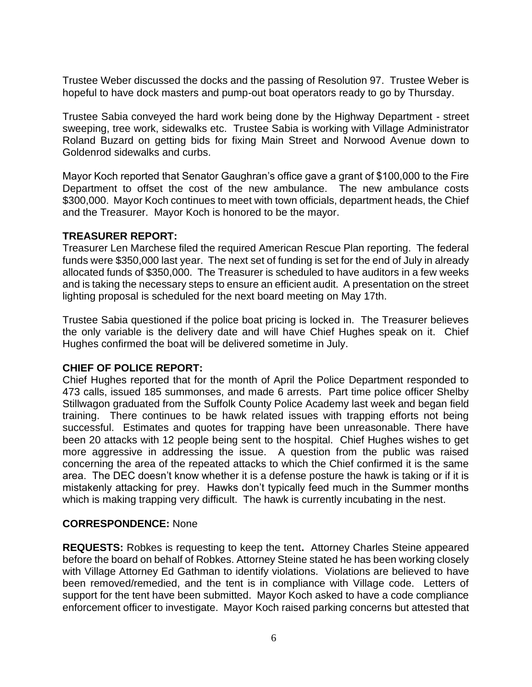Trustee Weber discussed the docks and the passing of Resolution 97. Trustee Weber is hopeful to have dock masters and pump-out boat operators ready to go by Thursday.

Trustee Sabia conveyed the hard work being done by the Highway Department - street sweeping, tree work, sidewalks etc. Trustee Sabia is working with Village Administrator Roland Buzard on getting bids for fixing Main Street and Norwood Avenue down to Goldenrod sidewalks and curbs.

Mayor Koch reported that Senator Gaughran's office gave a grant of \$100,000 to the Fire Department to offset the cost of the new ambulance. The new ambulance costs \$300,000. Mayor Koch continues to meet with town officials, department heads, the Chief and the Treasurer. Mayor Koch is honored to be the mayor.

# **TREASURER REPORT:**

Treasurer Len Marchese filed the required American Rescue Plan reporting. The federal funds were \$350,000 last year. The next set of funding is set for the end of July in already allocated funds of \$350,000. The Treasurer is scheduled to have auditors in a few weeks and is taking the necessary steps to ensure an efficient audit. A presentation on the street lighting proposal is scheduled for the next board meeting on May 17th.

Trustee Sabia questioned if the police boat pricing is locked in. The Treasurer believes the only variable is the delivery date and will have Chief Hughes speak on it. Chief Hughes confirmed the boat will be delivered sometime in July.

# **CHIEF OF POLICE REPORT:**

Chief Hughes reported that for the month of April the Police Department responded to 473 calls, issued 185 summonses, and made 6 arrests. Part time police officer Shelby Stillwagon graduated from the Suffolk County Police Academy last week and began field training. There continues to be hawk related issues with trapping efforts not being successful. Estimates and quotes for trapping have been unreasonable. There have been 20 attacks with 12 people being sent to the hospital. Chief Hughes wishes to get more aggressive in addressing the issue. A question from the public was raised concerning the area of the repeated attacks to which the Chief confirmed it is the same area. The DEC doesn't know whether it is a defense posture the hawk is taking or if it is mistakenly attacking for prey. Hawks don't typically feed much in the Summer months which is making trapping very difficult. The hawk is currently incubating in the nest.

# **CORRESPONDENCE:** None

**REQUESTS:** Robkes is requesting to keep the tent**.** Attorney Charles Steine appeared before the board on behalf of Robkes. Attorney Steine stated he has been working closely with Village Attorney Ed Gathman to identify violations. Violations are believed to have been removed/remedied, and the tent is in compliance with Village code. Letters of support for the tent have been submitted. Mayor Koch asked to have a code compliance enforcement officer to investigate. Mayor Koch raised parking concerns but attested that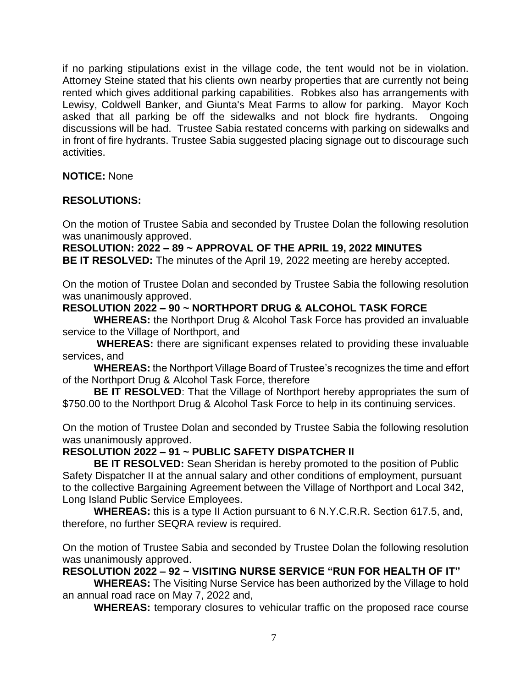if no parking stipulations exist in the village code, the tent would not be in violation. Attorney Steine stated that his clients own nearby properties that are currently not being rented which gives additional parking capabilities. Robkes also has arrangements with Lewisy, Coldwell Banker, and Giunta's Meat Farms to allow for parking. Mayor Koch asked that all parking be off the sidewalks and not block fire hydrants. Ongoing discussions will be had. Trustee Sabia restated concerns with parking on sidewalks and in front of fire hydrants. Trustee Sabia suggested placing signage out to discourage such activities.

**NOTICE:** None

# **RESOLUTIONS:**

On the motion of Trustee Sabia and seconded by Trustee Dolan the following resolution was unanimously approved.

**RESOLUTION: 2022 – 89 ~ APPROVAL OF THE APRIL 19, 2022 MINUTES**

**BE IT RESOLVED:** The minutes of the April 19, 2022 meeting are hereby accepted.

On the motion of Trustee Dolan and seconded by Trustee Sabia the following resolution was unanimously approved.

# **RESOLUTION 2022 – 90 ~ NORTHPORT DRUG & ALCOHOL TASK FORCE**

**WHEREAS:** the Northport Drug & Alcohol Task Force has provided an invaluable service to the Village of Northport, and

**WHEREAS:** there are significant expenses related to providing these invaluable services, and

**WHEREAS:** the Northport Village Board of Trustee's recognizes the time and effort of the Northport Drug & Alcohol Task Force, therefore

**BE IT RESOLVED**: That the Village of Northport hereby appropriates the sum of \$750.00 to the Northport Drug & Alcohol Task Force to help in its continuing services.

On the motion of Trustee Dolan and seconded by Trustee Sabia the following resolution was unanimously approved.

# **RESOLUTION 2022 – 91 ~ PUBLIC SAFETY DISPATCHER II**

**BE IT RESOLVED:** Sean Sheridan is hereby promoted to the position of Public Safety Dispatcher II at the annual salary and other conditions of employment, pursuant to the collective Bargaining Agreement between the Village of Northport and Local 342, Long Island Public Service Employees.

**WHEREAS:** this is a type II Action pursuant to 6 N.Y.C.R.R. Section 617.5, and, therefore, no further SEQRA review is required.

On the motion of Trustee Sabia and seconded by Trustee Dolan the following resolution was unanimously approved.

**RESOLUTION 2022 – 92 ~ VISITING NURSE SERVICE "RUN FOR HEALTH OF IT"**

**WHEREAS:** The Visiting Nurse Service has been authorized by the Village to hold an annual road race on May 7, 2022 and,

**WHEREAS:** temporary closures to vehicular traffic on the proposed race course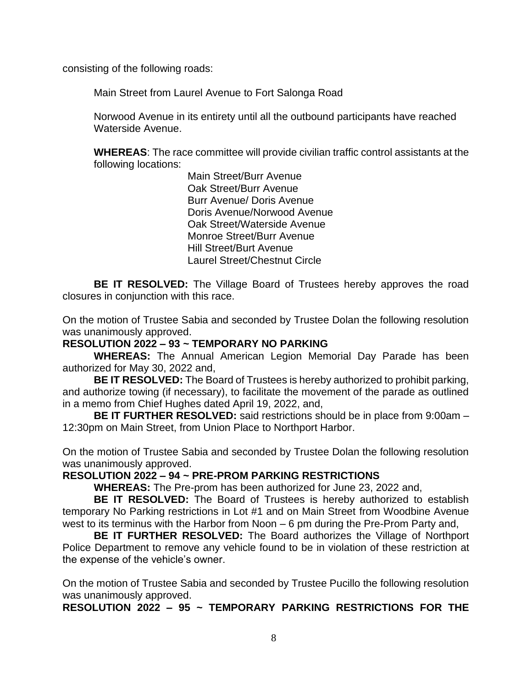consisting of the following roads:

Main Street from Laurel Avenue to Fort Salonga Road

Norwood Avenue in its entirety until all the outbound participants have reached Waterside Avenue.

**WHEREAS**: The race committee will provide civilian traffic control assistants at the following locations:

> Main Street/Burr Avenue Oak Street/Burr Avenue Burr Avenue/ Doris Avenue Doris Avenue/Norwood Avenue Oak Street/Waterside Avenue Monroe Street/Burr Avenue Hill Street/Burt Avenue Laurel Street/Chestnut Circle

**BE IT RESOLVED:** The Village Board of Trustees hereby approves the road closures in conjunction with this race.

On the motion of Trustee Sabia and seconded by Trustee Dolan the following resolution was unanimously approved.

# **RESOLUTION 2022 – 93 ~ TEMPORARY NO PARKING**

**WHEREAS:** The Annual American Legion Memorial Day Parade has been authorized for May 30, 2022 and,

**BE IT RESOLVED:** The Board of Trustees is hereby authorized to prohibit parking, and authorize towing (if necessary), to facilitate the movement of the parade as outlined in a memo from Chief Hughes dated April 19, 2022, and,

**BE IT FURTHER RESOLVED:** said restrictions should be in place from 9:00am – 12:30pm on Main Street, from Union Place to Northport Harbor.

On the motion of Trustee Sabia and seconded by Trustee Dolan the following resolution was unanimously approved.

#### **RESOLUTION 2022 – 94 ~ PRE-PROM PARKING RESTRICTIONS**

**WHEREAS:** The Pre-prom has been authorized for June 23, 2022 and,

**BE IT RESOLVED:** The Board of Trustees is hereby authorized to establish temporary No Parking restrictions in Lot #1 and on Main Street from Woodbine Avenue west to its terminus with the Harbor from Noon – 6 pm during the Pre-Prom Party and,

**BE IT FURTHER RESOLVED:** The Board authorizes the Village of Northport Police Department to remove any vehicle found to be in violation of these restriction at the expense of the vehicle's owner.

On the motion of Trustee Sabia and seconded by Trustee Pucillo the following resolution was unanimously approved.

**RESOLUTION 2022 – 95 ~ TEMPORARY PARKING RESTRICTIONS FOR THE**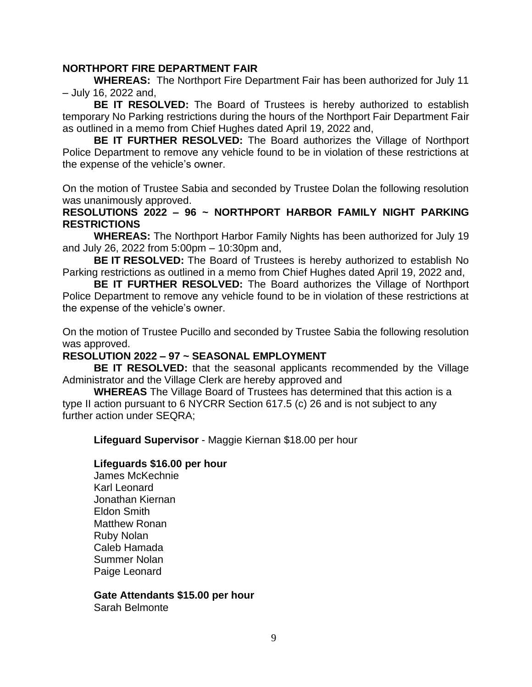### **NORTHPORT FIRE DEPARTMENT FAIR**

**WHEREAS:** The Northport Fire Department Fair has been authorized for July 11 – July 16, 2022 and,

**BE IT RESOLVED:** The Board of Trustees is hereby authorized to establish temporary No Parking restrictions during the hours of the Northport Fair Department Fair as outlined in a memo from Chief Hughes dated April 19, 2022 and,

**BE IT FURTHER RESOLVED:** The Board authorizes the Village of Northport Police Department to remove any vehicle found to be in violation of these restrictions at the expense of the vehicle's owner.

On the motion of Trustee Sabia and seconded by Trustee Dolan the following resolution was unanimously approved.

### **RESOLUTIONS 2022 – 96 ~ NORTHPORT HARBOR FAMILY NIGHT PARKING RESTRICTIONS**

**WHEREAS:** The Northport Harbor Family Nights has been authorized for July 19 and July 26, 2022 from 5:00pm – 10:30pm and,

**BE IT RESOLVED:** The Board of Trustees is hereby authorized to establish No Parking restrictions as outlined in a memo from Chief Hughes dated April 19, 2022 and,

**BE IT FURTHER RESOLVED:** The Board authorizes the Village of Northport Police Department to remove any vehicle found to be in violation of these restrictions at the expense of the vehicle's owner.

On the motion of Trustee Pucillo and seconded by Trustee Sabia the following resolution was approved.

# **RESOLUTION 2022 – 97 ~ SEASONAL EMPLOYMENT**

**BE IT RESOLVED:** that the seasonal applicants recommended by the Village Administrator and the Village Clerk are hereby approved and

**WHEREAS** The Village Board of Trustees has determined that this action is a type II action pursuant to 6 NYCRR Section 617.5 (c) 26 and is not subject to any further action under SEQRA;

**Lifeguard Supervisor** - Maggie Kiernan \$18.00 per hour

#### **Lifeguards \$16.00 per hour**

James McKechnie Karl Leonard Jonathan Kiernan Eldon Smith Matthew Ronan Ruby Nolan Caleb Hamada Summer Nolan Paige Leonard

# **Gate Attendants \$15.00 per hour**

Sarah Belmonte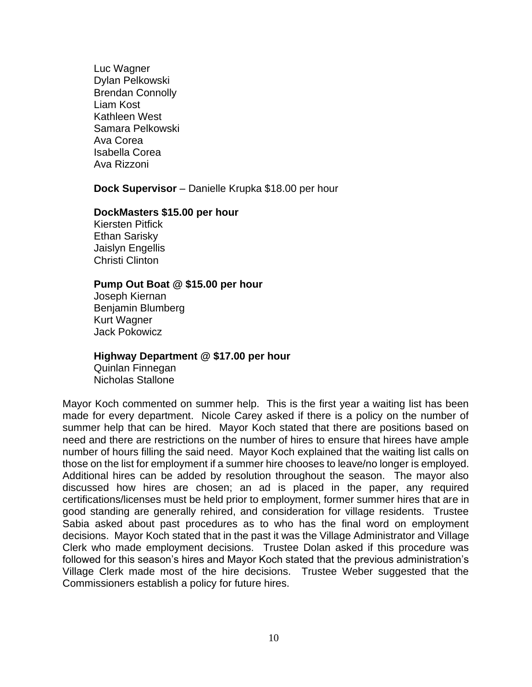Luc Wagner Dylan Pelkowski Brendan Connolly Liam Kost Kathleen West Samara Pelkowski Ava Corea Isabella Corea Ava Rizzoni

**Dock Supervisor** – Danielle Krupka \$18.00 per hour

#### **DockMasters \$15.00 per hour**

Kiersten Pitfick Ethan Sarisky Jaislyn Engellis Christi Clinton

#### **Pump Out Boat @ \$15.00 per hour**

Joseph Kiernan Benjamin Blumberg Kurt Wagner Jack Pokowicz

#### **Highway Department @ \$17.00 per hour**

Quinlan Finnegan Nicholas Stallone

Mayor Koch commented on summer help. This is the first year a waiting list has been made for every department. Nicole Carey asked if there is a policy on the number of summer help that can be hired. Mayor Koch stated that there are positions based on need and there are restrictions on the number of hires to ensure that hirees have ample number of hours filling the said need. Mayor Koch explained that the waiting list calls on those on the list for employment if a summer hire chooses to leave/no longer is employed. Additional hires can be added by resolution throughout the season. The mayor also discussed how hires are chosen; an ad is placed in the paper, any required certifications/licenses must be held prior to employment, former summer hires that are in good standing are generally rehired, and consideration for village residents. Trustee Sabia asked about past procedures as to who has the final word on employment decisions. Mayor Koch stated that in the past it was the Village Administrator and Village Clerk who made employment decisions. Trustee Dolan asked if this procedure was followed for this season's hires and Mayor Koch stated that the previous administration's Village Clerk made most of the hire decisions. Trustee Weber suggested that the Commissioners establish a policy for future hires.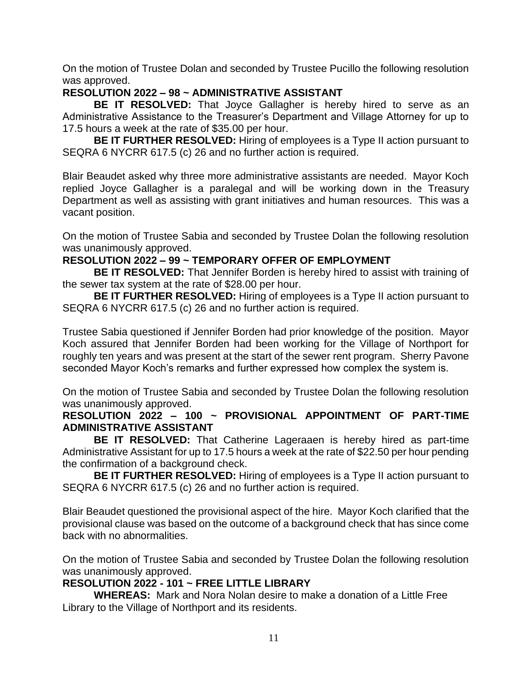On the motion of Trustee Dolan and seconded by Trustee Pucillo the following resolution was approved.

# **RESOLUTION 2022 – 98 ~ ADMINISTRATIVE ASSISTANT**

**BE IT RESOLVED:** That Joyce Gallagher is hereby hired to serve as an Administrative Assistance to the Treasurer's Department and Village Attorney for up to 17.5 hours a week at the rate of \$35.00 per hour.

**BE IT FURTHER RESOLVED:** Hiring of employees is a Type II action pursuant to SEQRA 6 NYCRR 617.5 (c) 26 and no further action is required.

Blair Beaudet asked why three more administrative assistants are needed. Mayor Koch replied Joyce Gallagher is a paralegal and will be working down in the Treasury Department as well as assisting with grant initiatives and human resources. This was a vacant position.

On the motion of Trustee Sabia and seconded by Trustee Dolan the following resolution was unanimously approved.

# **RESOLUTION 2022 – 99 ~ TEMPORARY OFFER OF EMPLOYMENT**

**BE IT RESOLVED:** That Jennifer Borden is hereby hired to assist with training of the sewer tax system at the rate of \$28.00 per hour.

**BE IT FURTHER RESOLVED:** Hiring of employees is a Type II action pursuant to SEQRA 6 NYCRR 617.5 (c) 26 and no further action is required.

Trustee Sabia questioned if Jennifer Borden had prior knowledge of the position. Mayor Koch assured that Jennifer Borden had been working for the Village of Northport for roughly ten years and was present at the start of the sewer rent program. Sherry Pavone seconded Mayor Koch's remarks and further expressed how complex the system is.

On the motion of Trustee Sabia and seconded by Trustee Dolan the following resolution was unanimously approved.

# **RESOLUTION 2022 – 100 ~ PROVISIONAL APPOINTMENT OF PART-TIME ADMINISTRATIVE ASSISTANT**

**BE IT RESOLVED:** That Catherine Lageraaen is hereby hired as part-time Administrative Assistant for up to 17.5 hours a week at the rate of \$22.50 per hour pending the confirmation of a background check.

**BE IT FURTHER RESOLVED:** Hiring of employees is a Type II action pursuant to SEQRA 6 NYCRR 617.5 (c) 26 and no further action is required.

Blair Beaudet questioned the provisional aspect of the hire. Mayor Koch clarified that the provisional clause was based on the outcome of a background check that has since come back with no abnormalities.

On the motion of Trustee Sabia and seconded by Trustee Dolan the following resolution was unanimously approved.

# **RESOLUTION 2022 - 101 ~ FREE LITTLE LIBRARY**

**WHEREAS:** Mark and Nora Nolan desire to make a donation of a Little Free Library to the Village of Northport and its residents.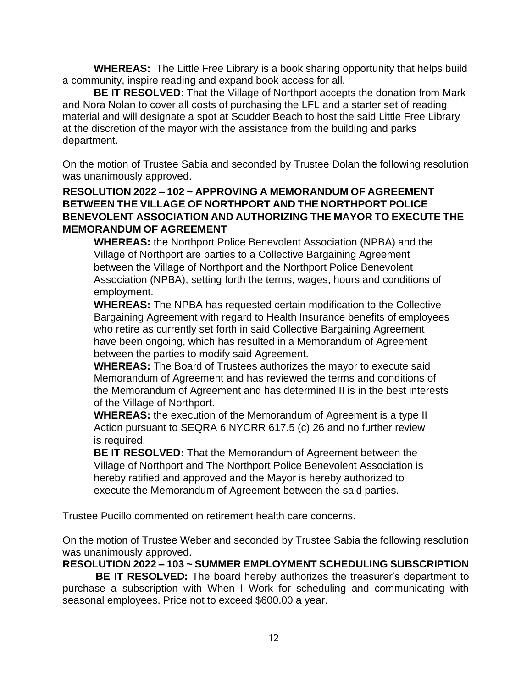**WHEREAS:** The Little Free Library is a book sharing opportunity that helps build a community, inspire reading and expand book access for all.

**BE IT RESOLVED**: That the Village of Northport accepts the donation from Mark and Nora Nolan to cover all costs of purchasing the LFL and a starter set of reading material and will designate a spot at Scudder Beach to host the said Little Free Library at the discretion of the mayor with the assistance from the building and parks department.

On the motion of Trustee Sabia and seconded by Trustee Dolan the following resolution was unanimously approved.

# **RESOLUTION 2022 – 102 ~ APPROVING A MEMORANDUM OF AGREEMENT BETWEEN THE VILLAGE OF NORTHPORT AND THE NORTHPORT POLICE BENEVOLENT ASSOCIATION AND AUTHORIZING THE MAYOR TO EXECUTE THE MEMORANDUM OF AGREEMENT**

**WHEREAS:** the Northport Police Benevolent Association (NPBA) and the Village of Northport are parties to a Collective Bargaining Agreement between the Village of Northport and the Northport Police Benevolent Association (NPBA), setting forth the terms, wages, hours and conditions of employment.

**WHEREAS:** The NPBA has requested certain modification to the Collective Bargaining Agreement with regard to Health Insurance benefits of employees who retire as currently set forth in said Collective Bargaining Agreement have been ongoing, which has resulted in a Memorandum of Agreement between the parties to modify said Agreement.

**WHEREAS:** The Board of Trustees authorizes the mayor to execute said Memorandum of Agreement and has reviewed the terms and conditions of the Memorandum of Agreement and has determined II is in the best interests of the Village of Northport.

**WHEREAS:** the execution of the Memorandum of Agreement is a type II Action pursuant to SEQRA 6 NYCRR 617.5 (c) 26 and no further review is required.

**BE IT RESOLVED:** That the Memorandum of Agreement between the Village of Northport and The Northport Police Benevolent Association is hereby ratified and approved and the Mayor is hereby authorized to execute the Memorandum of Agreement between the said parties.

Trustee Pucillo commented on retirement health care concerns.

On the motion of Trustee Weber and seconded by Trustee Sabia the following resolution was unanimously approved.

**RESOLUTION 2022 – 103 ~ SUMMER EMPLOYMENT SCHEDULING SUBSCRIPTION**

 **BE IT RESOLVED:** The board hereby authorizes the treasurer's department to purchase a subscription with When I Work for scheduling and communicating with seasonal employees. Price not to exceed \$600.00 a year.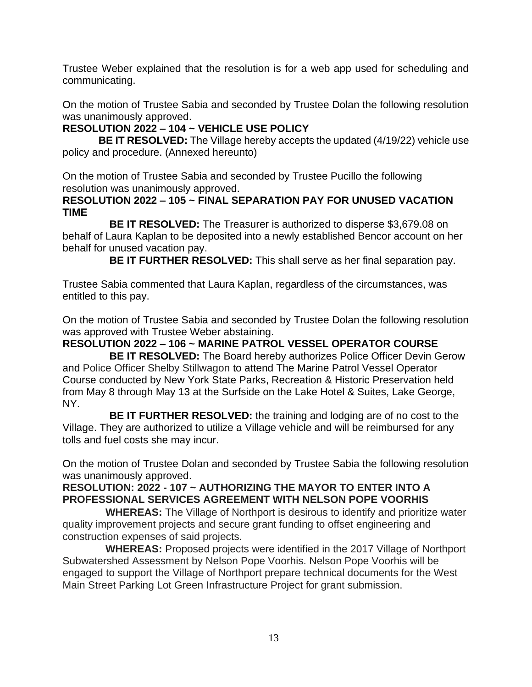Trustee Weber explained that the resolution is for a web app used for scheduling and communicating.

On the motion of Trustee Sabia and seconded by Trustee Dolan the following resolution was unanimously approved.

# **RESOLUTION 2022 – 104 ~ VEHICLE USE POLICY**

 **BE IT RESOLVED:** The Village hereby accepts the updated (4/19/22) vehicle use policy and procedure. (Annexed hereunto)

On the motion of Trustee Sabia and seconded by Trustee Pucillo the following resolution was unanimously approved.

# **RESOLUTION 2022 – 105 ~ FINAL SEPARATION PAY FOR UNUSED VACATION TIME**

**BE IT RESOLVED:** The Treasurer is authorized to disperse \$3,679.08 on behalf of Laura Kaplan to be deposited into a newly established Bencor account on her behalf for unused vacation pay.

**BE IT FURTHER RESOLVED:** This shall serve as her final separation pay.

Trustee Sabia commented that Laura Kaplan, regardless of the circumstances, was entitled to this pay.

On the motion of Trustee Sabia and seconded by Trustee Dolan the following resolution was approved with Trustee Weber abstaining.

# **RESOLUTION 2022 – 106 ~ MARINE PATROL VESSEL OPERATOR COURSE**

**BE IT RESOLVED:** The Board hereby authorizes Police Officer Devin Gerow and Police Officer Shelby Stillwagon to attend The Marine Patrol Vessel Operator Course conducted by New York State Parks, Recreation & Historic Preservation held from May 8 through May 13 at the Surfside on the Lake Hotel & Suites, Lake George, NY.

**BE IT FURTHER RESOLVED:** the training and lodging are of no cost to the Village. They are authorized to utilize a Village vehicle and will be reimbursed for any tolls and fuel costs she may incur.

On the motion of Trustee Dolan and seconded by Trustee Sabia the following resolution was unanimously approved.

# **RESOLUTION: 2022 - 107 ~ AUTHORIZING THE MAYOR TO ENTER INTO A PROFESSIONAL SERVICES AGREEMENT WITH NELSON POPE VOORHIS**

 **WHEREAS:** The Village of Northport is desirous to identify and prioritize water quality improvement projects and secure grant funding to offset engineering and construction expenses of said projects.

 **WHEREAS:** Proposed projects were identified in the 2017 Village of Northport Subwatershed Assessment by Nelson Pope Voorhis. Nelson Pope Voorhis will be engaged to support the Village of Northport prepare technical documents for the West Main Street Parking Lot Green Infrastructure Project for grant submission.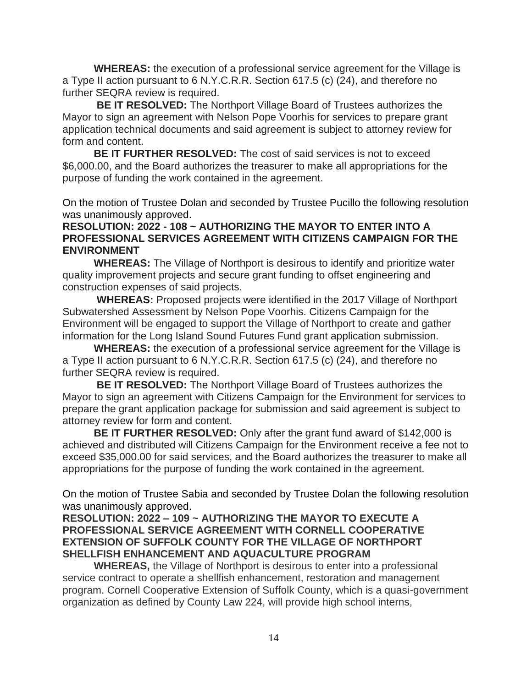**WHEREAS:** the execution of a professional service agreement for the Village is a Type II action pursuant to 6 N.Y.C.R.R. Section 617.5 (c) (24), and therefore no further SEQRA review is required.

 **BE IT RESOLVED:** The Northport Village Board of Trustees authorizes the Mayor to sign an agreement with Nelson Pope Voorhis for services to prepare grant application technical documents and said agreement is subject to attorney review for form and content.

 **BE IT FURTHER RESOLVED:** The cost of said services is not to exceed \$6,000.00, and the Board authorizes the treasurer to make all appropriations for the purpose of funding the work contained in the agreement.

On the motion of Trustee Dolan and seconded by Trustee Pucillo the following resolution was unanimously approved.

# **RESOLUTION: 2022 - 108 ~ AUTHORIZING THE MAYOR TO ENTER INTO A PROFESSIONAL SERVICES AGREEMENT WITH CITIZENS CAMPAIGN FOR THE ENVIRONMENT**

 **WHEREAS:** The Village of Northport is desirous to identify and prioritize water quality improvement projects and secure grant funding to offset engineering and construction expenses of said projects.

 **WHEREAS:** Proposed projects were identified in the 2017 Village of Northport Subwatershed Assessment by Nelson Pope Voorhis. Citizens Campaign for the Environment will be engaged to support the Village of Northport to create and gather information for the Long Island Sound Futures Fund grant application submission.

 **WHEREAS:** the execution of a professional service agreement for the Village is a Type II action pursuant to 6 N.Y.C.R.R. Section 617.5 (c) (24), and therefore no further SEQRA review is required.

 **BE IT RESOLVED:** The Northport Village Board of Trustees authorizes the Mayor to sign an agreement with Citizens Campaign for the Environment for services to prepare the grant application package for submission and said agreement is subject to attorney review for form and content.

**BE IT FURTHER RESOLVED:** Only after the grant fund award of \$142,000 is achieved and distributed will Citizens Campaign for the Environment receive a fee not to exceed \$35,000.00 for said services, and the Board authorizes the treasurer to make all appropriations for the purpose of funding the work contained in the agreement.

On the motion of Trustee Sabia and seconded by Trustee Dolan the following resolution was unanimously approved.

**RESOLUTION: 2022 – 109 ~ AUTHORIZING THE MAYOR TO EXECUTE A PROFESSIONAL SERVICE AGREEMENT WITH CORNELL COOPERATIVE EXTENSION OF SUFFOLK COUNTY FOR THE VILLAGE OF NORTHPORT SHELLFISH ENHANCEMENT AND AQUACULTURE PROGRAM**

**WHEREAS,** the Village of Northport is desirous to enter into a professional service contract to operate a shellfish enhancement, restoration and management program. Cornell Cooperative Extension of Suffolk County, which is a quasi-government organization as defined by County Law 224, will provide high school interns,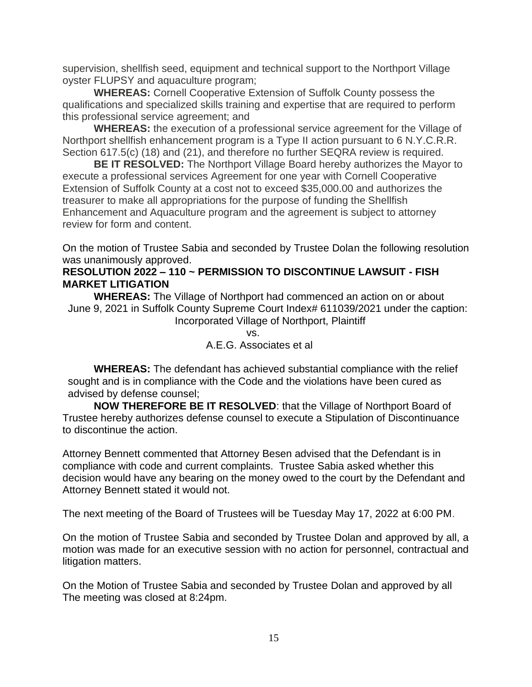supervision, shellfish seed, equipment and technical support to the Northport Village oyster FLUPSY and aquaculture program;

**WHEREAS:** Cornell Cooperative Extension of Suffolk County possess the qualifications and specialized skills training and expertise that are required to perform this professional service agreement; and

**WHEREAS:** the execution of a professional service agreement for the Village of Northport shellfish enhancement program is a Type II action pursuant to 6 N.Y.C.R.R. Section 617.5(c) (18) and (21), and therefore no further SEQRA review is required.

**BE IT RESOLVED:** The Northport Village Board hereby authorizes the Mayor to execute a professional services Agreement for one year with Cornell Cooperative Extension of Suffolk County at a cost not to exceed \$35,000.00 and authorizes the treasurer to make all appropriations for the purpose of funding the Shellfish Enhancement and Aquaculture program and the agreement is subject to attorney review for form and content.

On the motion of Trustee Sabia and seconded by Trustee Dolan the following resolution was unanimously approved.

# **RESOLUTION 2022 – 110 ~ PERMISSION TO DISCONTINUE LAWSUIT - FISH MARKET LITIGATION**

**WHEREAS:** The Village of Northport had commenced an action on or about June 9, 2021 in Suffolk County Supreme Court Index# 611039/2021 under the caption: Incorporated Village of Northport, Plaintiff

 vs. A.E.G. Associates et al

**WHEREAS:** The defendant has achieved substantial compliance with the relief sought and is in compliance with the Code and the violations have been cured as advised by defense counsel;

**NOW THEREFORE BE IT RESOLVED**: that the Village of Northport Board of Trustee hereby authorizes defense counsel to execute a Stipulation of Discontinuance to discontinue the action.

Attorney Bennett commented that Attorney Besen advised that the Defendant is in compliance with code and current complaints. Trustee Sabia asked whether this decision would have any bearing on the money owed to the court by the Defendant and Attorney Bennett stated it would not.

The next meeting of the Board of Trustees will be Tuesday May 17, 2022 at 6:00 PM.

On the motion of Trustee Sabia and seconded by Trustee Dolan and approved by all, a motion was made for an executive session with no action for personnel, contractual and litigation matters.

On the Motion of Trustee Sabia and seconded by Trustee Dolan and approved by all The meeting was closed at 8:24pm.